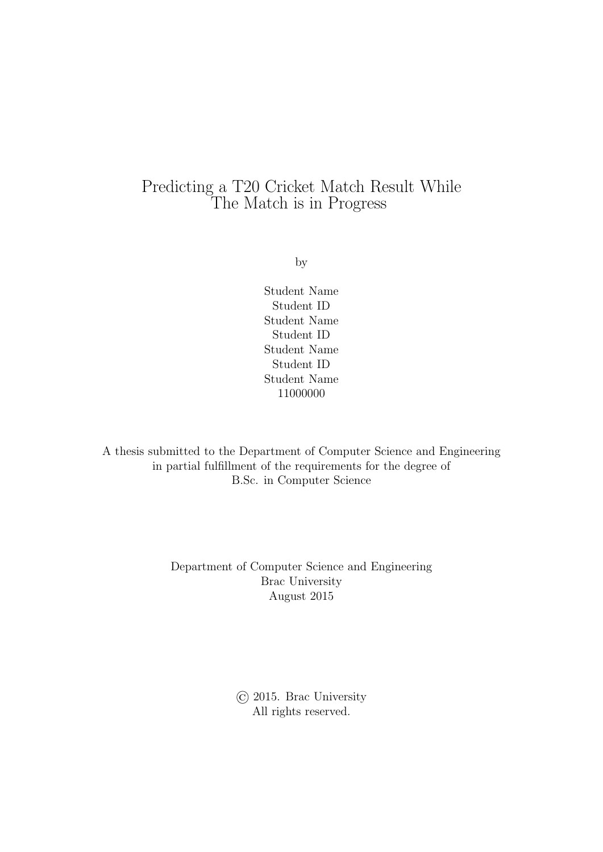### Predicting a T20 Cricket Match Result While The Match is in Progress

by

Student Name Student ID Student Name Student ID Student Name Student ID Student Name 11000000

A thesis submitted to the Department of Computer Science and Engineering in partial fulfillment of the requirements for the degree of B.Sc. in Computer Science

> Department of Computer Science and Engineering Brac University August 2015

> > © 2015. Brac University All rights reserved.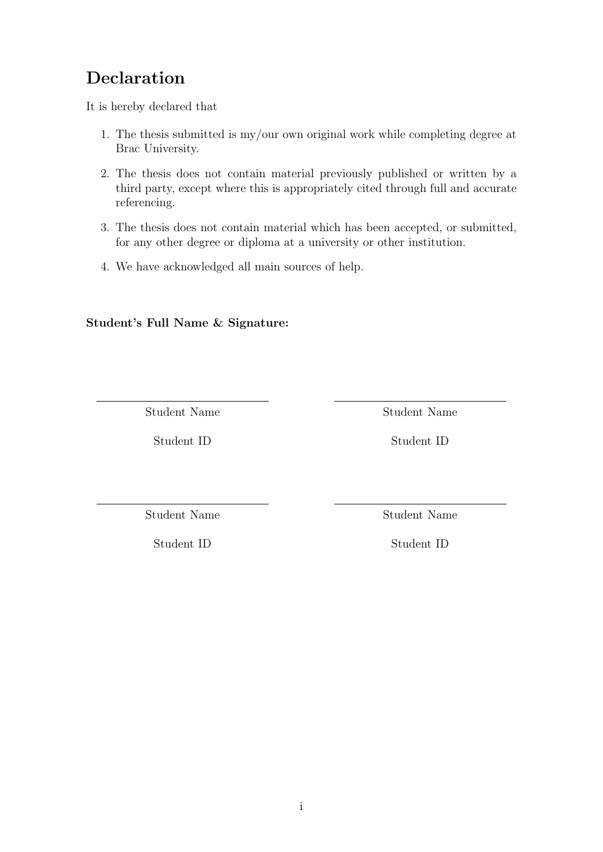## <span id="page-1-0"></span>Declaration

It is hereby declared that

- 1. The thesis submitted is my/our own original work while completing degree at Brac University.
- 2. The thesis does not contain material previously published or written by a third party, except where this is appropriately cited through full and accurate referencing.
- 3. The thesis does not contain material which has been accepted, or submitted, for any other degree or diploma at a university or other institution.
- 4. We have acknowledged all main sources of help.

Student's Full Name & Signature:

Student Name

Student ID

Student Name

Student ID

Student Name

Student ID

Student Name

Student ID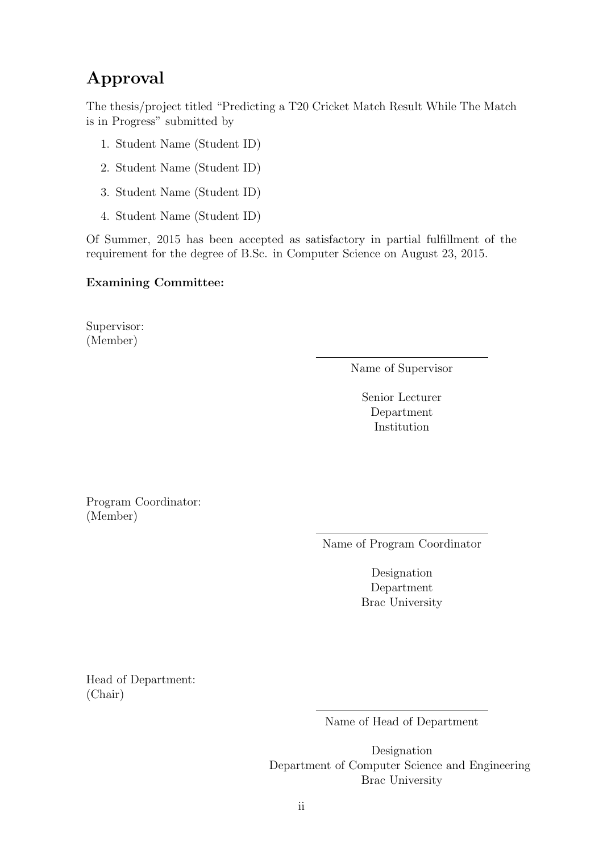## <span id="page-2-0"></span>Approval

The thesis/project titled "Predicting a T20 Cricket Match Result While The Match is in Progress" submitted by

- 1. Student Name (Student ID)
- 2. Student Name (Student ID)
- 3. Student Name (Student ID)
- 4. Student Name (Student ID)

Of Summer, 2015 has been accepted as satisfactory in partial fulfillment of the requirement for the degree of B.Sc. in Computer Science on August 23, 2015.

#### Examining Committee:

Supervisor: (Member)

Name of Supervisor

Senior Lecturer Department Institution

Program Coordinator: (Member)

Name of Program Coordinator

Designation Department Brac University

Head of Department: (Chair)

Name of Head of Department

Designation Department of Computer Science and Engineering Brac University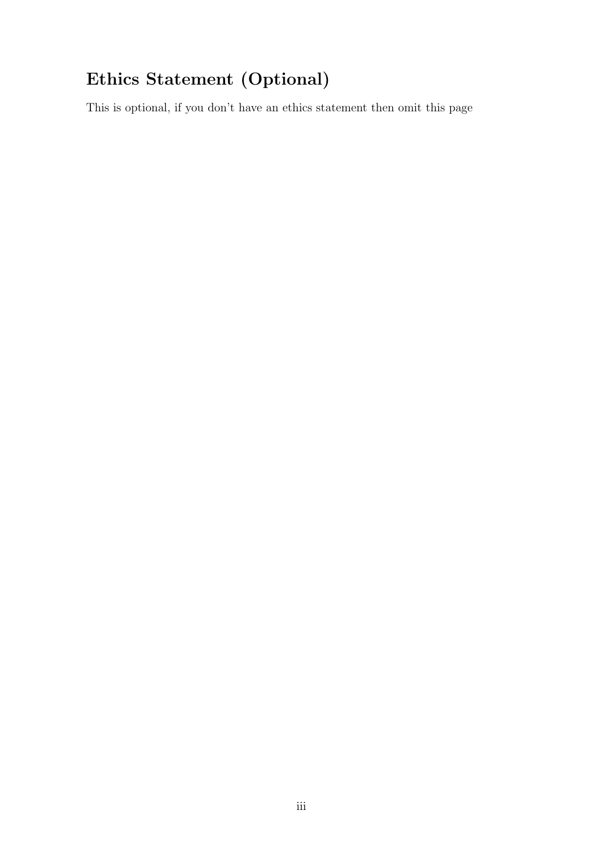# <span id="page-3-0"></span>Ethics Statement (Optional)

This is optional, if you don't have an ethics statement then omit this page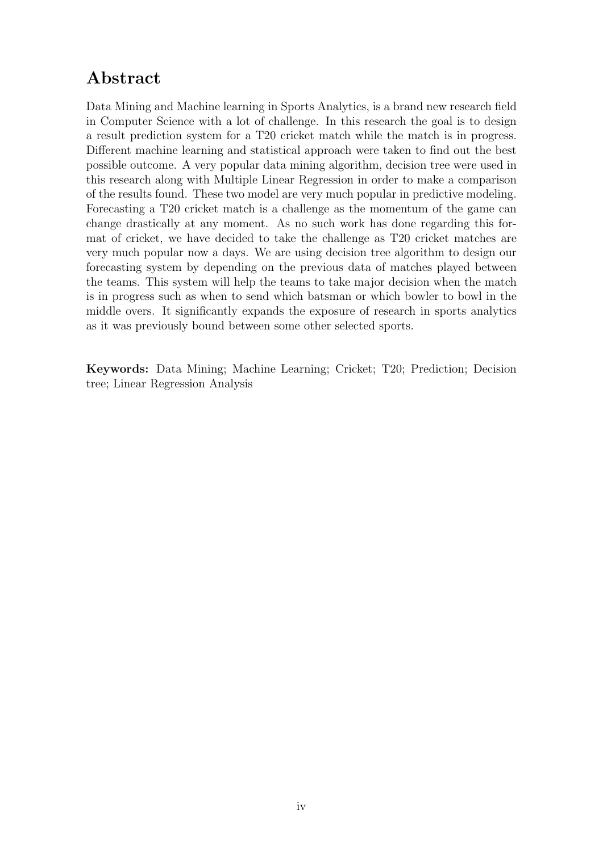## <span id="page-4-0"></span>Abstract

Data Mining and Machine learning in Sports Analytics, is a brand new research field in Computer Science with a lot of challenge. In this research the goal is to design a result prediction system for a T20 cricket match while the match is in progress. Different machine learning and statistical approach were taken to find out the best possible outcome. A very popular data mining algorithm, decision tree were used in this research along with Multiple Linear Regression in order to make a comparison of the results found. These two model are very much popular in predictive modeling. Forecasting a T20 cricket match is a challenge as the momentum of the game can change drastically at any moment. As no such work has done regarding this format of cricket, we have decided to take the challenge as T20 cricket matches are very much popular now a days. We are using decision tree algorithm to design our forecasting system by depending on the previous data of matches played between the teams. This system will help the teams to take major decision when the match is in progress such as when to send which batsman or which bowler to bowl in the middle overs. It significantly expands the exposure of research in sports analytics as it was previously bound between some other selected sports.

Keywords: Data Mining; Machine Learning; Cricket; T20; Prediction; Decision tree; Linear Regression Analysis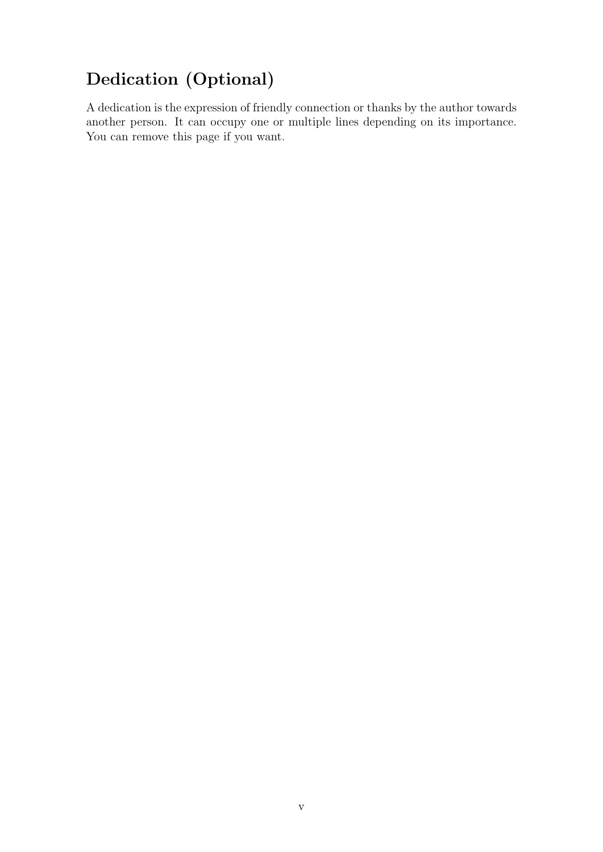# <span id="page-5-0"></span>Dedication (Optional)

A dedication is the expression of friendly connection or thanks by the author towards another person. It can occupy one or multiple lines depending on its importance. You can remove this page if you want.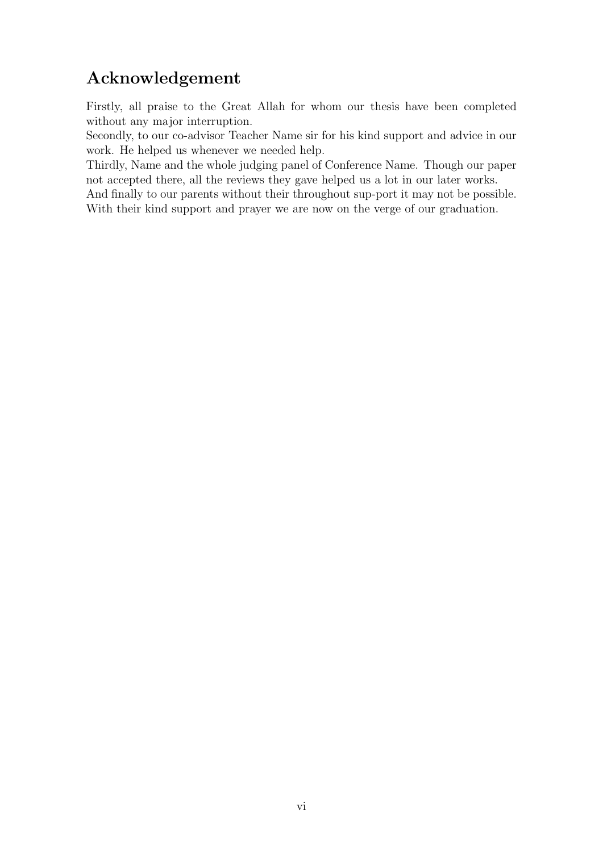## <span id="page-6-0"></span>Acknowledgement

Firstly, all praise to the Great Allah for whom our thesis have been completed without any major interruption.

Secondly, to our co-advisor Teacher Name sir for his kind support and advice in our work. He helped us whenever we needed help.

Thirdly, Name and the whole judging panel of Conference Name. Though our paper not accepted there, all the reviews they gave helped us a lot in our later works.

And finally to our parents without their throughout sup-port it may not be possible. With their kind support and prayer we are now on the verge of our graduation.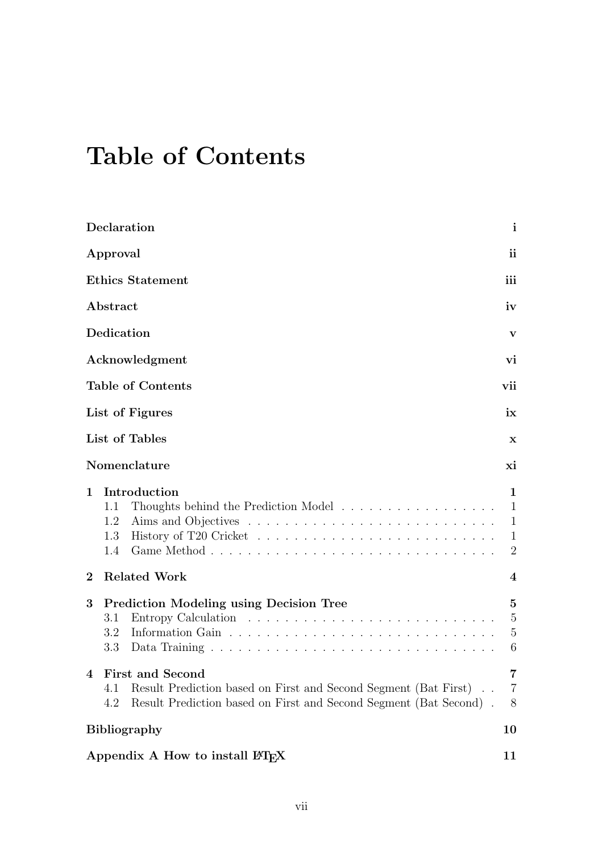# <span id="page-7-0"></span>Table of Contents

| Declaration                                                                                                                                                                         | $\mathbf{i}$                                             |
|-------------------------------------------------------------------------------------------------------------------------------------------------------------------------------------|----------------------------------------------------------|
| Approval                                                                                                                                                                            | ii                                                       |
| <b>Ethics Statement</b>                                                                                                                                                             | iii                                                      |
| Abstract                                                                                                                                                                            | iv                                                       |
| Dedication                                                                                                                                                                          | v                                                        |
| Acknowledgment                                                                                                                                                                      | vi                                                       |
| <b>Table of Contents</b>                                                                                                                                                            | vii                                                      |
| List of Figures                                                                                                                                                                     | ix                                                       |
| List of Tables                                                                                                                                                                      | $\mathbf x$                                              |
| Nomenclature                                                                                                                                                                        | xi                                                       |
| Introduction<br>1<br>Thoughts behind the Prediction Model $\hfill\ldots\ldots\ldots\ldots\ldots\ldots\ldots\ldots\ldots\ldots$<br>1.1<br>1.2<br>1.3<br>1.4                          | 1<br>$\mathbf{1}$<br>1<br>$\mathbf{1}$<br>$\overline{2}$ |
| $\overline{2}$<br><b>Related Work</b>                                                                                                                                               | 4                                                        |
| 3<br><b>Prediction Modeling using Decision Tree</b><br>3.1<br>3.2<br>3.3                                                                                                            | $\bf{5}$<br>$\overline{5}$<br>5<br>6                     |
| <b>First and Second</b><br>4<br>Result Prediction based on First and Second Segment (Bat First).<br>4.1<br>Result Prediction based on First and Second Segment (Bat Second).<br>4.2 | 7<br>$\overline{7}$<br>8                                 |
| <b>Bibliography</b>                                                                                                                                                                 | 10                                                       |
| Appendix A How to install LAT <sub>F</sub> X                                                                                                                                        | 11                                                       |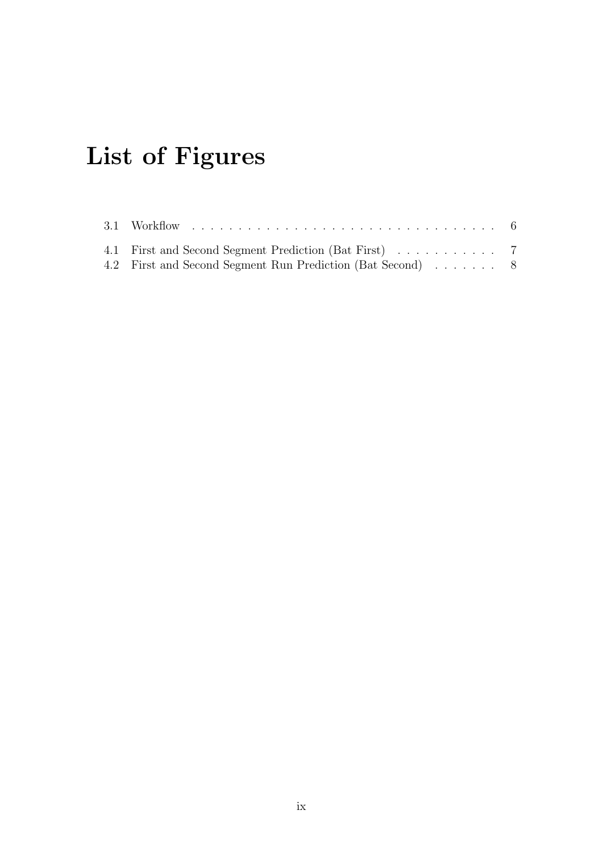# <span id="page-9-0"></span>List of Figures

| 4.1 First and Second Segment Prediction (Bat First) 7      |  |  |
|------------------------------------------------------------|--|--|
| 4.2 First and Second Segment Run Prediction (Bat Second) 8 |  |  |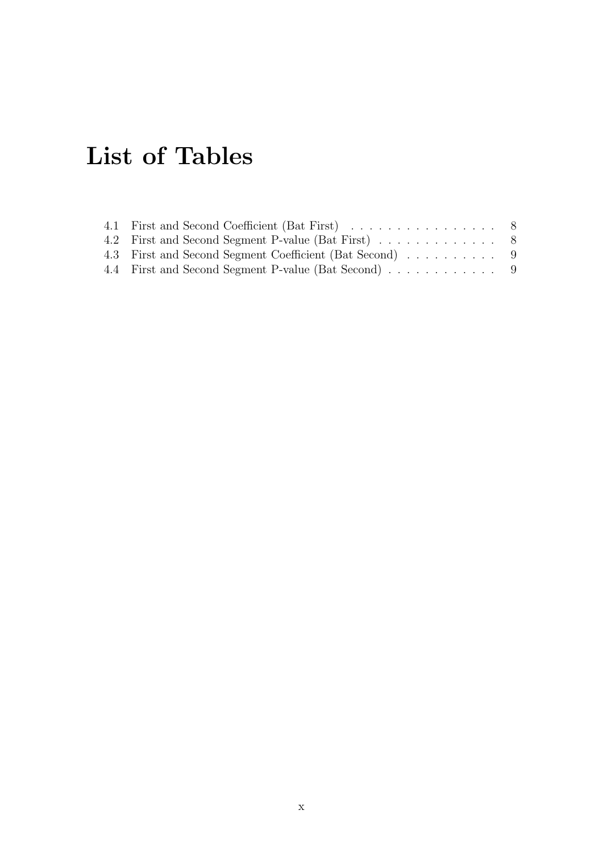# <span id="page-10-0"></span>List of Tables

| 4.1 First and Second Coefficient (Bat First) 8          |  |
|---------------------------------------------------------|--|
|                                                         |  |
| 4.3 First and Second Segment Coefficient (Bat Second) 9 |  |
| 4.4 First and Second Segment P-value (Bat Second) 9     |  |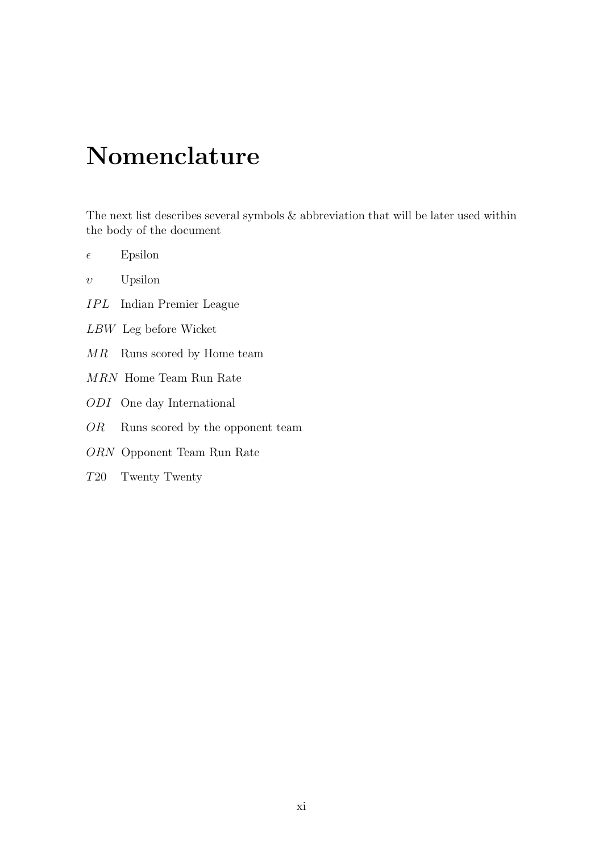# <span id="page-11-0"></span>Nomenclature

The next list describes several symbols & abbreviation that will be later used within the body of the document

- $\epsilon$  Epsilon
- $v$  Upsilon
- IPL Indian Premier League
- LBW Leg before Wicket
- MR Runs scored by Home team
- MRN Home Team Run Rate
- ODI One day International
- OR Runs scored by the opponent team
- ORN Opponent Team Run Rate
- T20 Twenty Twenty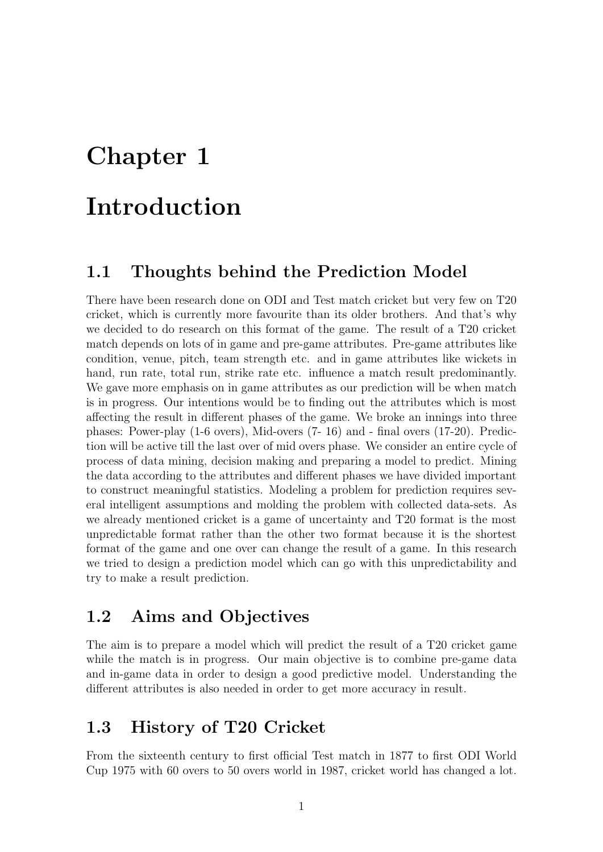# <span id="page-12-0"></span>Chapter 1

# Introduction

### <span id="page-12-1"></span>1.1 Thoughts behind the Prediction Model

There have been research done on ODI and Test match cricket but very few on T20 cricket, which is currently more favourite than its older brothers. And that's why we decided to do research on this format of the game. The result of a T20 cricket match depends on lots of in game and pre-game attributes. Pre-game attributes like condition, venue, pitch, team strength etc. and in game attributes like wickets in hand, run rate, total run, strike rate etc. influence a match result predominantly. We gave more emphasis on in game attributes as our prediction will be when match is in progress. Our intentions would be to finding out the attributes which is most affecting the result in different phases of the game. We broke an innings into three phases: Power-play (1-6 overs), Mid-overs (7- 16) and - final overs (17-20). Prediction will be active till the last over of mid overs phase. We consider an entire cycle of process of data mining, decision making and preparing a model to predict. Mining the data according to the attributes and different phases we have divided important to construct meaningful statistics. Modeling a problem for prediction requires several intelligent assumptions and molding the problem with collected data-sets. As we already mentioned cricket is a game of uncertainty and T20 format is the most unpredictable format rather than the other two format because it is the shortest format of the game and one over can change the result of a game. In this research we tried to design a prediction model which can go with this unpredictability and try to make a result prediction.

### <span id="page-12-2"></span>1.2 Aims and Objectives

The aim is to prepare a model which will predict the result of a T20 cricket game while the match is in progress. Our main objective is to combine pre-game data and in-game data in order to design a good predictive model. Understanding the different attributes is also needed in order to get more accuracy in result.

### <span id="page-12-3"></span>1.3 History of T20 Cricket

From the sixteenth century to first official Test match in 1877 to first ODI World Cup 1975 with 60 overs to 50 overs world in 1987, cricket world has changed a lot.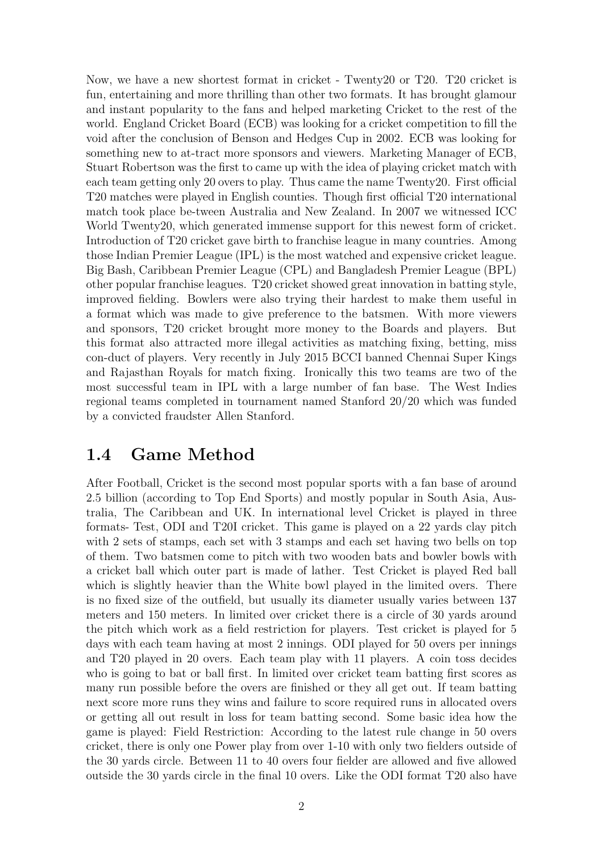Now, we have a new shortest format in cricket - Twenty20 or T20. T20 cricket is fun, entertaining and more thrilling than other two formats. It has brought glamour and instant popularity to the fans and helped marketing Cricket to the rest of the world. England Cricket Board (ECB) was looking for a cricket competition to fill the void after the conclusion of Benson and Hedges Cup in 2002. ECB was looking for something new to at-tract more sponsors and viewers. Marketing Manager of ECB, Stuart Robertson was the first to came up with the idea of playing cricket match with each team getting only 20 overs to play. Thus came the name Twenty20. First official T20 matches were played in English counties. Though first official T20 international match took place be-tween Australia and New Zealand. In 2007 we witnessed ICC World Twenty20, which generated immense support for this newest form of cricket. Introduction of T20 cricket gave birth to franchise league in many countries. Among those Indian Premier League (IPL) is the most watched and expensive cricket league. Big Bash, Caribbean Premier League (CPL) and Bangladesh Premier League (BPL) other popular franchise leagues. T20 cricket showed great innovation in batting style, improved fielding. Bowlers were also trying their hardest to make them useful in a format which was made to give preference to the batsmen. With more viewers and sponsors, T20 cricket brought more money to the Boards and players. But this format also attracted more illegal activities as matching fixing, betting, miss con-duct of players. Very recently in July 2015 BCCI banned Chennai Super Kings and Rajasthan Royals for match fixing. Ironically this two teams are two of the most successful team in IPL with a large number of fan base. The West Indies regional teams completed in tournament named Stanford 20/20 which was funded by a convicted fraudster Allen Stanford.

### <span id="page-13-0"></span>1.4 Game Method

After Football, Cricket is the second most popular sports with a fan base of around 2.5 billion (according to Top End Sports) and mostly popular in South Asia, Australia, The Caribbean and UK. In international level Cricket is played in three formats- Test, ODI and T20I cricket. This game is played on a 22 yards clay pitch with 2 sets of stamps, each set with 3 stamps and each set having two bells on top of them. Two batsmen come to pitch with two wooden bats and bowler bowls with a cricket ball which outer part is made of lather. Test Cricket is played Red ball which is slightly heavier than the White bowl played in the limited overs. There is no fixed size of the outfield, but usually its diameter usually varies between 137 meters and 150 meters. In limited over cricket there is a circle of 30 yards around the pitch which work as a field restriction for players. Test cricket is played for 5 days with each team having at most 2 innings. ODI played for 50 overs per innings and T20 played in 20 overs. Each team play with 11 players. A coin toss decides who is going to bat or ball first. In limited over cricket team batting first scores as many run possible before the overs are finished or they all get out. If team batting next score more runs they wins and failure to score required runs in allocated overs or getting all out result in loss for team batting second. Some basic idea how the game is played: Field Restriction: According to the latest rule change in 50 overs cricket, there is only one Power play from over 1-10 with only two fielders outside of the 30 yards circle. Between 11 to 40 overs four fielder are allowed and five allowed outside the 30 yards circle in the final 10 overs. Like the ODI format T20 also have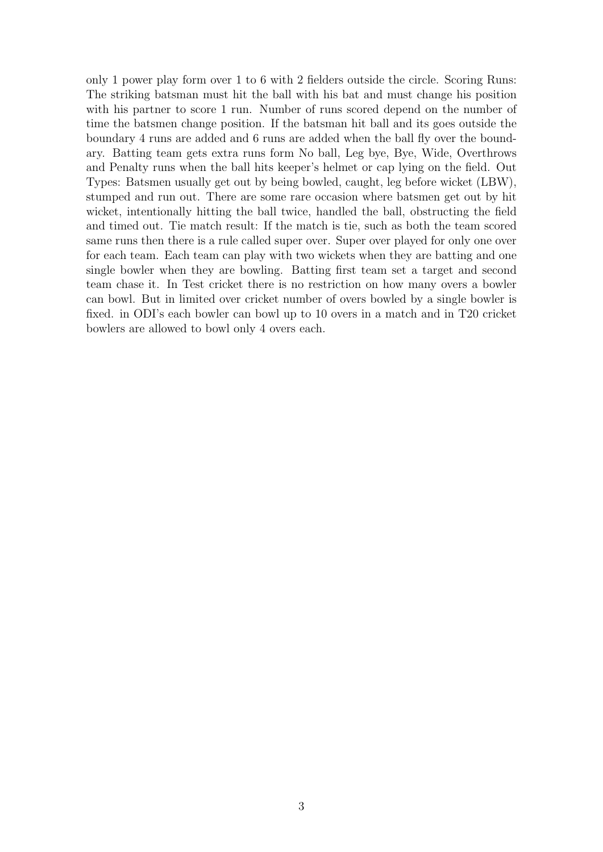only 1 power play form over 1 to 6 with 2 fielders outside the circle. Scoring Runs: The striking batsman must hit the ball with his bat and must change his position with his partner to score 1 run. Number of runs scored depend on the number of time the batsmen change position. If the batsman hit ball and its goes outside the boundary 4 runs are added and 6 runs are added when the ball fly over the boundary. Batting team gets extra runs form No ball, Leg bye, Bye, Wide, Overthrows and Penalty runs when the ball hits keeper's helmet or cap lying on the field. Out Types: Batsmen usually get out by being bowled, caught, leg before wicket (LBW), stumped and run out. There are some rare occasion where batsmen get out by hit wicket, intentionally hitting the ball twice, handled the ball, obstructing the field and timed out. Tie match result: If the match is tie, such as both the team scored same runs then there is a rule called super over. Super over played for only one over for each team. Each team can play with two wickets when they are batting and one single bowler when they are bowling. Batting first team set a target and second team chase it. In Test cricket there is no restriction on how many overs a bowler can bowl. But in limited over cricket number of overs bowled by a single bowler is fixed. in ODI's each bowler can bowl up to 10 overs in a match and in T20 cricket bowlers are allowed to bowl only 4 overs each.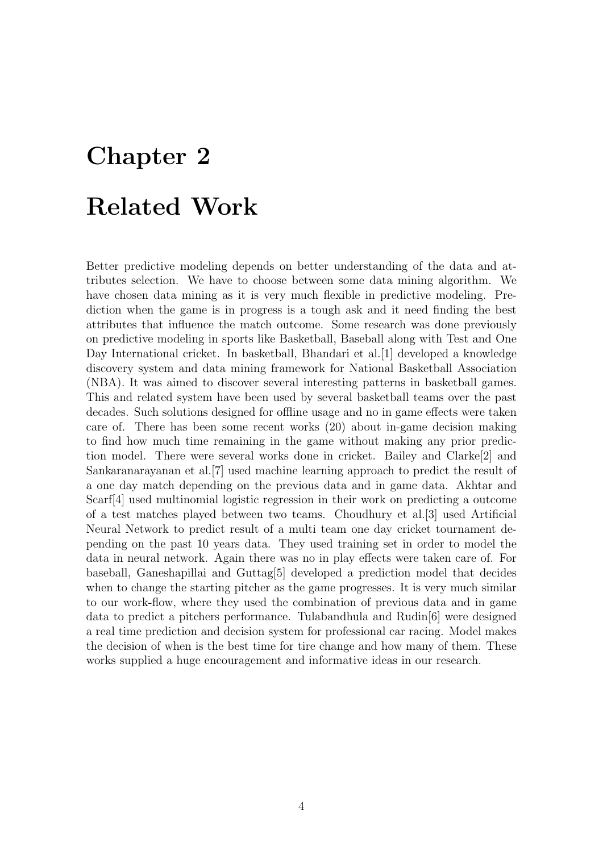# <span id="page-15-0"></span>Chapter 2 Related Work

Better predictive modeling depends on better understanding of the data and attributes selection. We have to choose between some data mining algorithm. We have chosen data mining as it is very much flexible in predictive modeling. Prediction when the game is in progress is a tough ask and it need finding the best attributes that influence the match outcome. Some research was done previously on predictive modeling in sports like Basketball, Baseball along with Test and One Day International cricket. In basketball, Bhandari et al.[\[1\]](#page-21-1) developed a knowledge discovery system and data mining framework for National Basketball Association (NBA). It was aimed to discover several interesting patterns in basketball games. This and related system have been used by several basketball teams over the past decades. Such solutions designed for offline usage and no in game effects were taken care of. There has been some recent works (20) about in-game decision making to find how much time remaining in the game without making any prior prediction model. There were several works done in cricket. Bailey and Clarke[\[2\]](#page-21-2) and Sankaranarayanan et al.[\[7\]](#page-21-3) used machine learning approach to predict the result of a one day match depending on the previous data and in game data. Akhtar and Scarf[\[4\]](#page-21-4) used multinomial logistic regression in their work on predicting a outcome of a test matches played between two teams. Choudhury et al.[\[3\]](#page-21-5) used Artificial Neural Network to predict result of a multi team one day cricket tournament depending on the past 10 years data. They used training set in order to model the data in neural network. Again there was no in play effects were taken care of. For baseball, Ganeshapillai and Guttag[\[5\]](#page-21-6) developed a prediction model that decides when to change the starting pitcher as the game progresses. It is very much similar to our work-flow, where they used the combination of previous data and in game data to predict a pitchers performance. Tulabandhula and Rudin[\[6\]](#page-21-7) were designed a real time prediction and decision system for professional car racing. Model makes the decision of when is the best time for tire change and how many of them. These works supplied a huge encouragement and informative ideas in our research.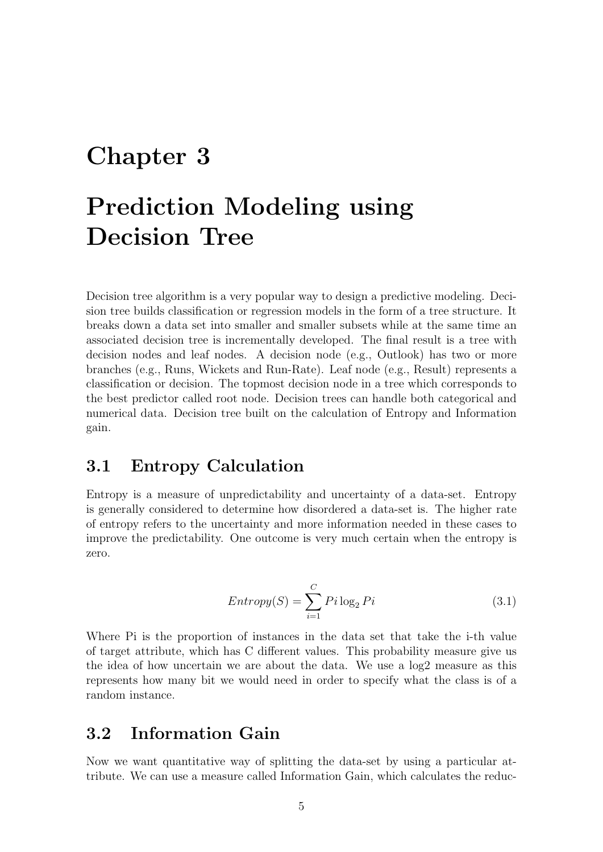# <span id="page-16-0"></span>Chapter 3

# Prediction Modeling using Decision Tree

Decision tree algorithm is a very popular way to design a predictive modeling. Decision tree builds classification or regression models in the form of a tree structure. It breaks down a data set into smaller and smaller subsets while at the same time an associated decision tree is incrementally developed. The final result is a tree with decision nodes and leaf nodes. A decision node (e.g., Outlook) has two or more branches (e.g., Runs, Wickets and Run-Rate). Leaf node (e.g., Result) represents a classification or decision. The topmost decision node in a tree which corresponds to the best predictor called root node. Decision trees can handle both categorical and numerical data. Decision tree built on the calculation of Entropy and Information gain.

### <span id="page-16-1"></span>3.1 Entropy Calculation

Entropy is a measure of unpredictability and uncertainty of a data-set. Entropy is generally considered to determine how disordered a data-set is. The higher rate of entropy refers to the uncertainty and more information needed in these cases to improve the predictability. One outcome is very much certain when the entropy is zero.

$$
Entropy(S) = \sum_{i=1}^{C} P_i \log_2 Pi
$$
\n(3.1)

Where Pi is the proportion of instances in the data set that take the i-th value of target attribute, which has C different values. This probability measure give us the idea of how uncertain we are about the data. We use a log2 measure as this represents how many bit we would need in order to specify what the class is of a random instance.

### <span id="page-16-2"></span>3.2 Information Gain

Now we want quantitative way of splitting the data-set by using a particular attribute. We can use a measure called Information Gain, which calculates the reduc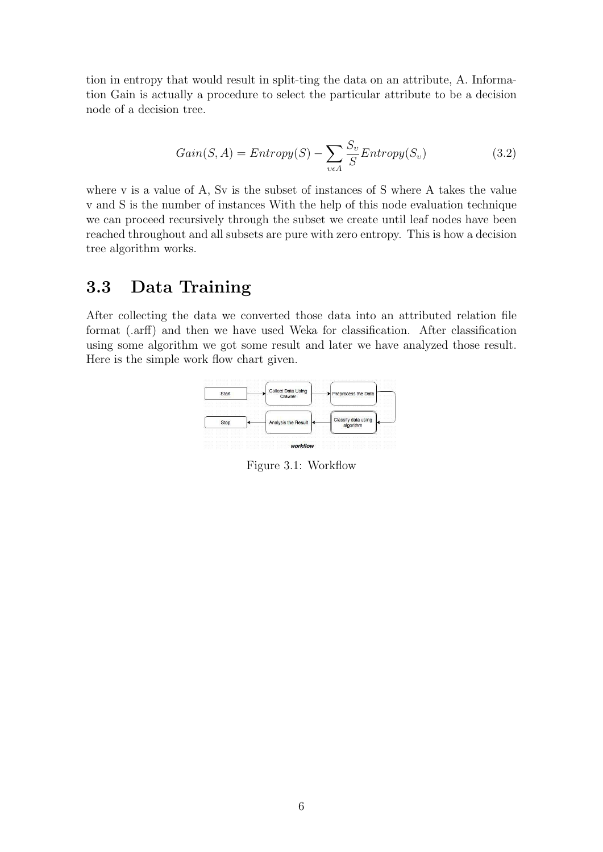tion in entropy that would result in split-ting the data on an attribute, A. Information Gain is actually a procedure to select the particular attribute to be a decision node of a decision tree.

$$
Gain(S, A) = Entropy(S) - \sum_{v \in A} \frac{S_v}{S} Entropy(S_v)
$$
\n(3.2)

where v is a value of A, Sv is the subset of instances of S where A takes the value v and S is the number of instances With the help of this node evaluation technique we can proceed recursively through the subset we create until leaf nodes have been reached throughout and all subsets are pure with zero entropy. This is how a decision tree algorithm works.

### <span id="page-17-0"></span>3.3 Data Training

<span id="page-17-1"></span>After collecting the data we converted those data into an attributed relation file format (.arff) and then we have used Weka for classification. After classification using some algorithm we got some result and later we have analyzed those result. Here is the simple work flow chart given.



Figure 3.1: Workflow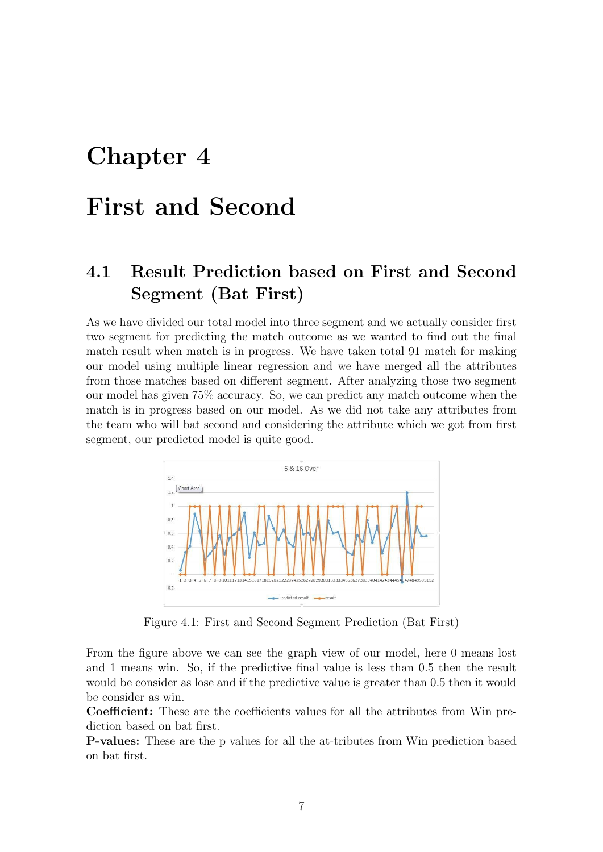# <span id="page-18-0"></span>Chapter 4

## First and Second

## <span id="page-18-1"></span>4.1 Result Prediction based on First and Second Segment (Bat First)

As we have divided our total model into three segment and we actually consider first two segment for predicting the match outcome as we wanted to find out the final match result when match is in progress. We have taken total 91 match for making our model using multiple linear regression and we have merged all the attributes from those matches based on different segment. After analyzing those two segment our model has given 75% accuracy. So, we can predict any match outcome when the match is in progress based on our model. As we did not take any attributes from the team who will bat second and considering the attribute which we got from first segment, our predicted model is quite good.

<span id="page-18-2"></span>

Figure 4.1: First and Second Segment Prediction (Bat First)

From the figure above we can see the graph view of our model, here 0 means lost and 1 means win. So, if the predictive final value is less than 0.5 then the result would be consider as lose and if the predictive value is greater than 0.5 then it would be consider as win.

Coefficient: These are the coefficients values for all the attributes from Win prediction based on bat first.

P-values: These are the p values for all the at-tributes from Win prediction based on bat first.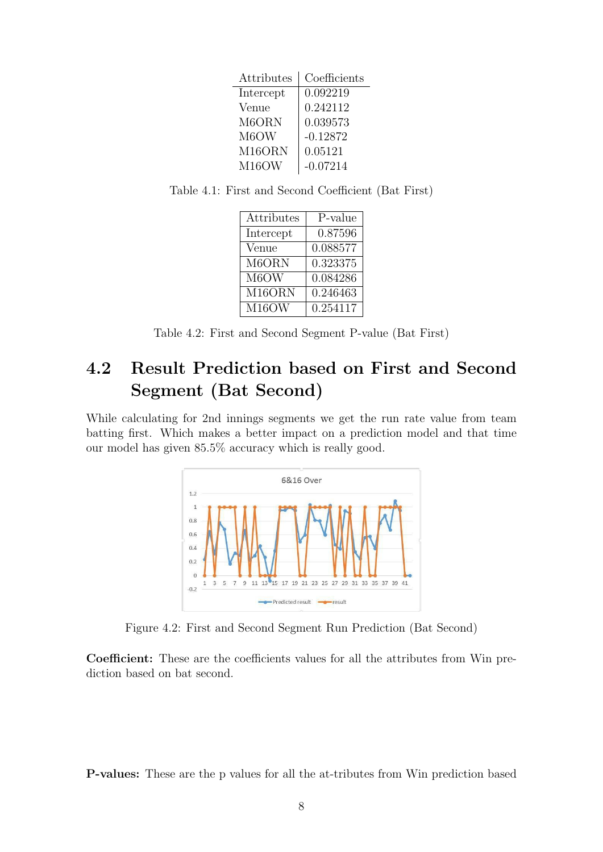| Attributes | Coefficients |
|------------|--------------|
| Intercept  | 0.092219     |
| Venue      | 0.242112     |
| M6ORN      | 0.039573     |
| M6OW       | $-0.12872$   |
| M16ORN     | 0.05121      |
| M16OW      | $-0.07214$   |

<span id="page-19-3"></span><span id="page-19-2"></span>Table 4.1: First and Second Coefficient (Bat First)

| Attributes | P-value  |
|------------|----------|
| Intercept  | 0.87596  |
| Venue      | 0.088577 |
| M6ORN      | 0.323375 |
| M6OW       | 0.084286 |
| M16ORN     | 0.246463 |
| M16OW      | 0.254117 |

Table 4.2: First and Second Segment P-value (Bat First)

## <span id="page-19-0"></span>4.2 Result Prediction based on First and Second Segment (Bat Second)

<span id="page-19-1"></span>While calculating for 2nd innings segments we get the run rate value from team batting first. Which makes a better impact on a prediction model and that time our model has given 85.5% accuracy which is really good.



Figure 4.2: First and Second Segment Run Prediction (Bat Second)

Coefficient: These are the coefficients values for all the attributes from Win prediction based on bat second.

P-values: These are the p values for all the at-tributes from Win prediction based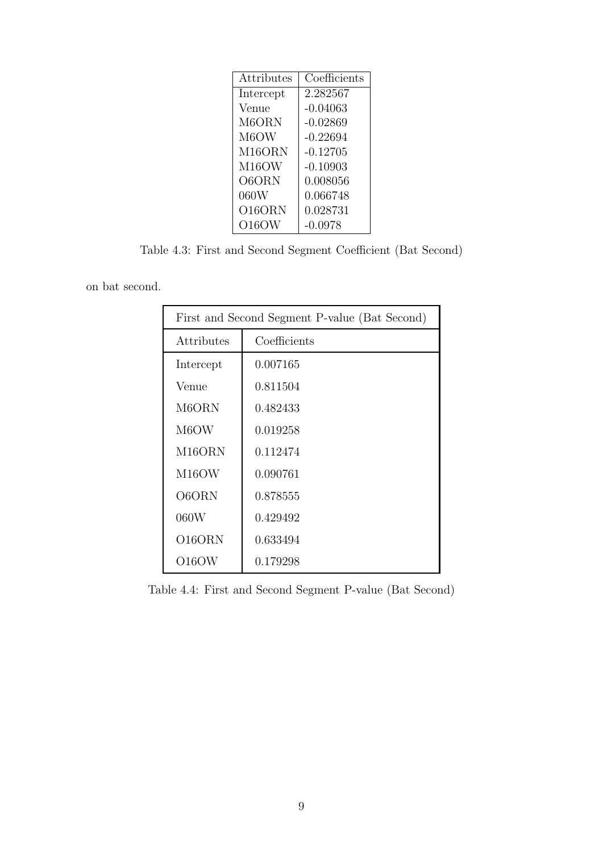<span id="page-20-0"></span>

| Coefficients |
|--------------|
| 2.282567     |
| $-0.04063$   |
| $-0.02869$   |
| $-0.22694$   |
| $-0.12705$   |
| $-0.10903$   |
| 0.008056     |
| 0.066748     |
| 0.028731     |
| $-0.0978$    |
|              |

Table 4.3: First and Second Segment Coefficient (Bat Second)

<span id="page-20-1"></span>on bat second.

| First and Second Segment P-value (Bat Second) |              |  |
|-----------------------------------------------|--------------|--|
| Attributes                                    | Coefficients |  |
| Intercept                                     | 0.007165     |  |
| Venue                                         | 0.811504     |  |
| M6ORN                                         | 0.482433     |  |
| M6OW                                          | 0.019258     |  |
| M16ORN                                        | 0.112474     |  |
| M <sub>16</sub> OW                            | 0.090761     |  |
| O6ORN                                         | 0.878555     |  |
| 060W                                          | 0.429492     |  |
| O16ORN                                        | 0.633494     |  |
| O16OW                                         | 0.179298     |  |

Table 4.4: First and Second Segment P-value (Bat Second)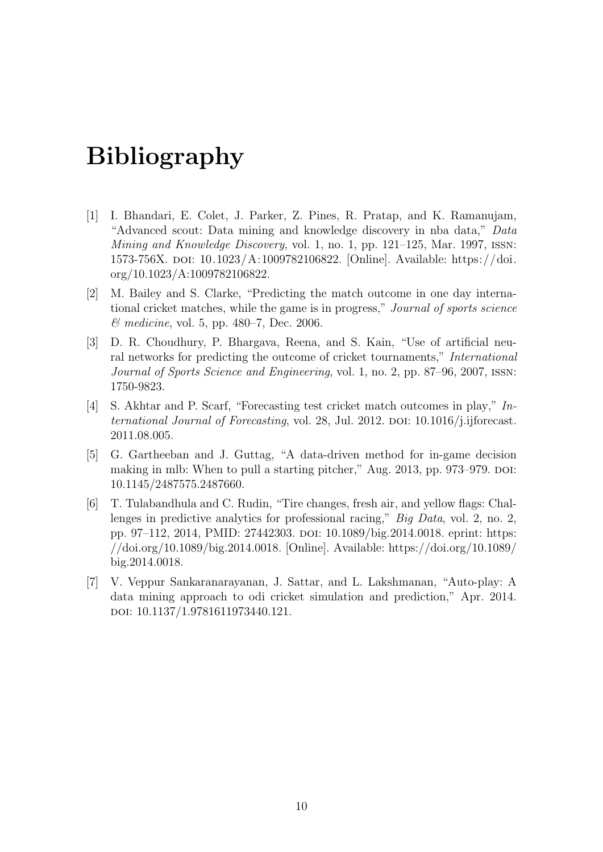# <span id="page-21-0"></span>Bibliography

- <span id="page-21-1"></span>[1] I. Bhandari, E. Colet, J. Parker, Z. Pines, R. Pratap, and K. Ramanujam, "Advanced scout: Data mining and knowledge discovery in nba data," Data Mining and Knowledge Discovery, vol. 1, no. 1, pp. 121–125, Mar. 1997, issn: 1573-756X. doi: [10.1023/A:1009782106822.](https://doi.org/10.1023/A:1009782106822) [Online]. Available: [https://doi.](https://doi.org/10.1023/A:1009782106822) [org/10.1023/A:1009782106822.](https://doi.org/10.1023/A:1009782106822)
- <span id="page-21-2"></span>[2] M. Bailey and S. Clarke, "Predicting the match outcome in one day international cricket matches, while the game is in progress," Journal of sports science & medicine, vol. 5, pp. 480–7, Dec. 2006.
- <span id="page-21-5"></span>[3] D. R. Choudhury, P. Bhargava, Reena, and S. Kain, "Use of artificial neural networks for predicting the outcome of cricket tournaments," International Journal of Sports Science and Engineering, vol. 1, no. 2, pp. 87–96, 2007, issn: 1750-9823.
- <span id="page-21-4"></span>[4] S. Akhtar and P. Scarf, "Forecasting test cricket match outcomes in play," International Journal of Forecasting, vol. 28, Jul. 2012. DOI:  $10.1016/j.$ ijforecast. [2011.08.005.](https://doi.org/10.1016/j.ijforecast.2011.08.005)
- <span id="page-21-6"></span>[5] G. Gartheeban and J. Guttag, "A data-driven method for in-game decision making in mlb: When to pull a starting pitcher," Aug. 2013, pp. 973–979. DOI: [10.1145/2487575.2487660.](https://doi.org/10.1145/2487575.2487660)
- <span id="page-21-7"></span>[6] T. Tulabandhula and C. Rudin, "Tire changes, fresh air, and yellow flags: Challenges in predictive analytics for professional racing," Big Data, vol. 2, no. 2, pp. 97–112, 2014, PMID: 27442303. doi: [10.1089/big.2014.0018.](https://doi.org/10.1089/big.2014.0018) eprint: [https:](https://doi.org/10.1089/big.2014.0018) [//doi.org/10.1089/big.2014.0018.](https://doi.org/10.1089/big.2014.0018) [Online]. Available: [https://doi.org/10.1089/](https://doi.org/10.1089/big.2014.0018) [big.2014.0018.](https://doi.org/10.1089/big.2014.0018)
- <span id="page-21-3"></span>[7] V. Veppur Sankaranarayanan, J. Sattar, and L. Lakshmanan, "Auto-play: A data mining approach to odi cricket simulation and prediction," Apr. 2014. doi: [10.1137/1.9781611973440.121.](https://doi.org/10.1137/1.9781611973440.121)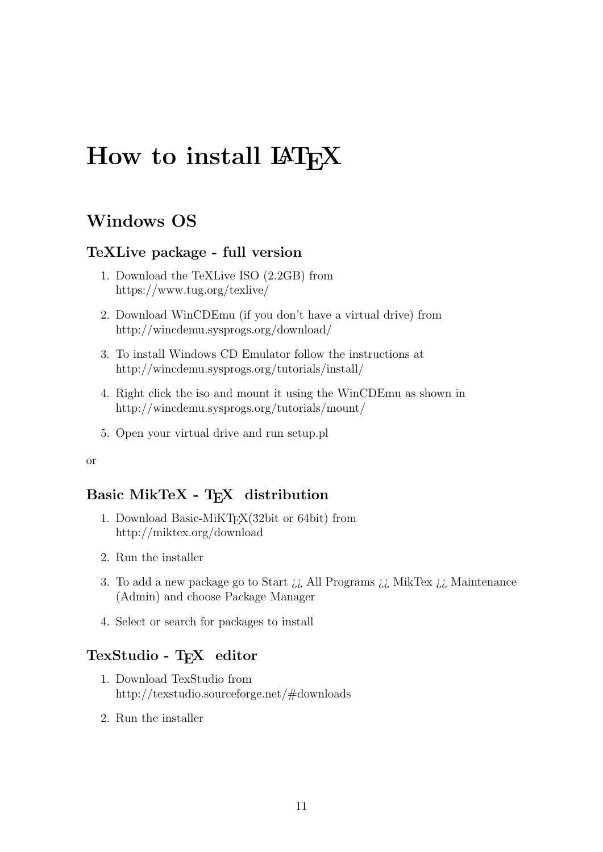# <span id="page-22-0"></span>How to install LAT<sub>EX</sub>

## Windows OS

#### TeXLive package - full version

- 1. Download the TeXLive ISO (2.2GB) from <https://www.tug.org/texlive/>
- 2. Download WinCDEmu (if you don't have a virtual drive) from <http://wincdemu.sysprogs.org/download/>
- 3. To install Windows CD Emulator follow the instructions at <http://wincdemu.sysprogs.org/tutorials/install/>
- 4. Right click the iso and mount it using the WinCDEmu as shown in <http://wincdemu.sysprogs.org/tutorials/mount/>
- 5. Open your virtual drive and run setup.pl

#### or

#### Basic MikTeX - T<sub>E</sub>X distribution

- 1. Download Basic-MiKT<sub>F</sub>X(32bit or 64bit) from <http://miktex.org/download>
- 2. Run the installer
- 3. To add a new package go to Start  $\lambda \iota$  All Programs  $\lambda \iota$  MikTex  $\lambda \iota$  Maintenance (Admin) and choose Package Manager
- 4. Select or search for packages to install

#### TexStudio - T<sub>E</sub>X editor

- 1. Download TexStudio from <http://texstudio.sourceforge.net/#downloads>
- 2. Run the installer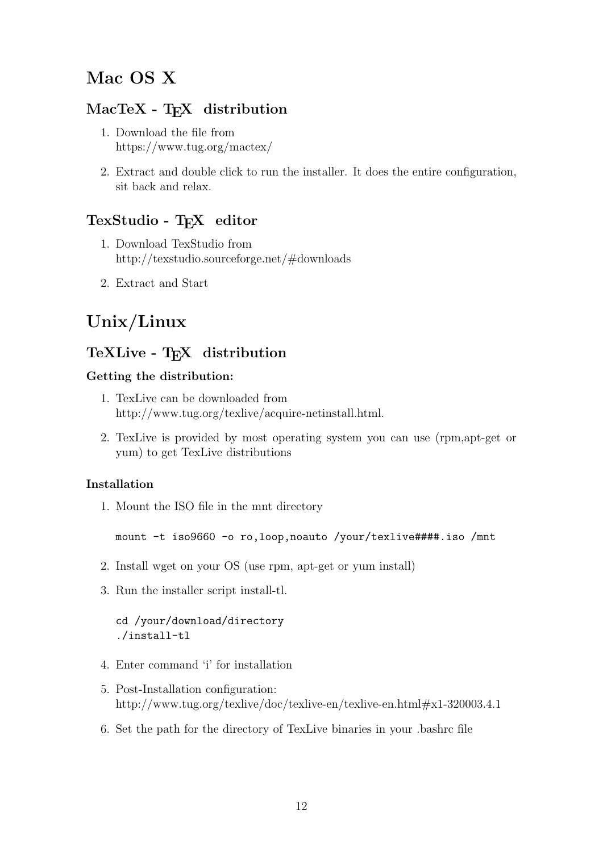### Mac OS X

#### MacTeX - TEX distribution

- 1. Download the file from <https://www.tug.org/mactex/>
- 2. Extract and double click to run the installer. It does the entire configuration, sit back and relax.

#### TexStudio - TFX editor

- 1. Download TexStudio from <http://texstudio.sourceforge.net/#downloads>
- 2. Extract and Start

## Unix/Linux

## TeXLive - TEX distribution

#### Getting the distribution:

- 1. TexLive can be downloaded from [http://www.tug.org/texlive/acquire-netinstall.html.](http://www.tug.org/texlive/acquire-netinstall.html)
- 2. TexLive is provided by most operating system you can use (rpm,apt-get or yum) to get TexLive distributions

#### Installation

1. Mount the ISO file in the mnt directory

mount -t iso9660 -o ro,loop,noauto /your/texlive####.iso /mnt

- 2. Install wget on your OS (use rpm, apt-get or yum install)
- 3. Run the installer script install-tl.

#### cd /your/download/directory ./install-tl

- 4. Enter command 'i' for installation
- 5. Post-Installation configuration: <http://www.tug.org/texlive/doc/texlive-en/texlive-en.html#x1-320003.4.1>
- 6. Set the path for the directory of TexLive binaries in your .bashrc file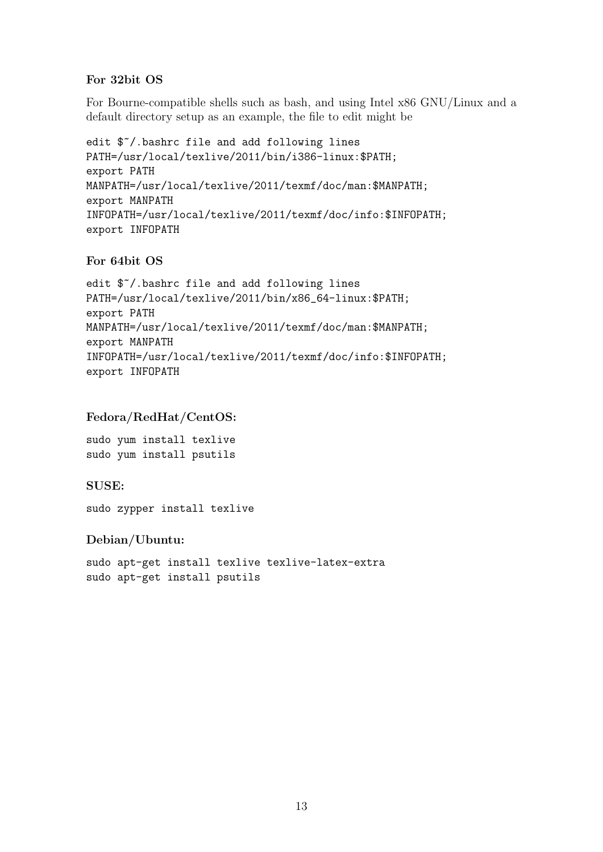#### For 32bit OS

For Bourne-compatible shells such as bash, and using Intel x86 GNU/Linux and a default directory setup as an example, the file to edit might be

edit \$~/.bashrc file and add following lines PATH=/usr/local/texlive/2011/bin/i386-linux:\$PATH; export PATH MANPATH=/usr/local/texlive/2011/texmf/doc/man:\$MANPATH; export MANPATH INFOPATH=/usr/local/texlive/2011/texmf/doc/info:\$INFOPATH; export INFOPATH

#### For 64bit OS

edit \$~/.bashrc file and add following lines PATH=/usr/local/texlive/2011/bin/x86\_64-linux:\$PATH; export PATH MANPATH=/usr/local/texlive/2011/texmf/doc/man:\$MANPATH; export MANPATH INFOPATH=/usr/local/texlive/2011/texmf/doc/info:\$INFOPATH; export INFOPATH

#### Fedora/RedHat/CentOS:

sudo yum install texlive sudo yum install psutils

#### SUSE:

sudo zypper install texlive

Debian/Ubuntu:

sudo apt-get install texlive texlive-latex-extra sudo apt-get install psutils